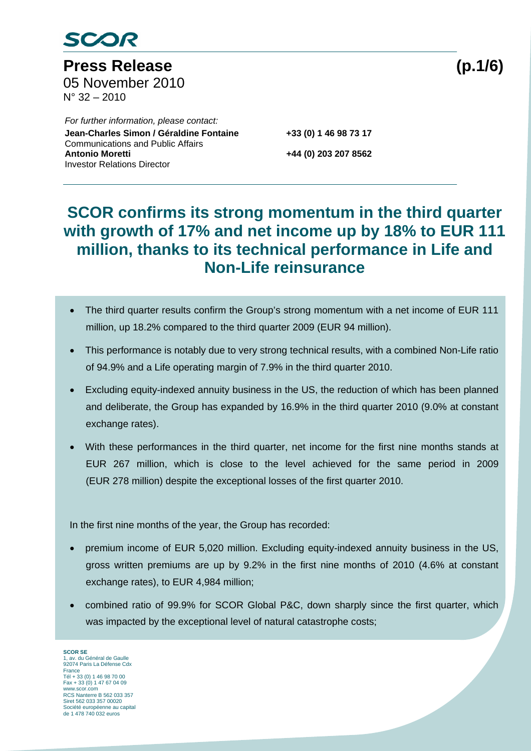

Press Release (p.1/6) 05 November 2010 N° 32 – 2010

 *For further information, please contact:*  Jean-Charles Simon / Géraldine Fontaine **+33 (0) 1 46 98 73 17**  Communications and Public Affairs **Antonio Moretti +44 (0) 203 207 8562**  Investor Relations Director

### **SCOR confirms its strong momentum in the third quarter with growth of 17% and net income up by 18% to EUR 111 million, thanks to its technical performance in Life and Non-Life reinsurance**

- The third quarter results confirm the Group's strong momentum with a net income of EUR 111 million, up 18.2% compared to the third quarter 2009 (EUR 94 million).
- This performance is notably due to very strong technical results, with a combined Non-Life ratio of 94.9% and a Life operating margin of 7.9% in the third quarter 2010.
- Excluding equity-indexed annuity business in the US, the reduction of which has been planned and deliberate, the Group has expanded by 16.9% in the third quarter 2010 (9.0% at constant exchange rates).
- With these performances in the third quarter, net income for the first nine months stands at EUR 267 million, which is close to the level achieved for the same period in 2009 (EUR 278 million) despite the exceptional losses of the first quarter 2010.

In the first nine months of the year, the Group has recorded:

- premium income of EUR 5,020 million. Excluding equity-indexed annuity business in the US, gross written premiums are up by 9.2% in the first nine months of 2010 (4.6% at constant exchange rates), to EUR 4,984 million;
- combined ratio of 99.9% for SCOR Global P&C, down sharply since the first quarter, which was impacted by the exceptional level of natural catastrophe costs;

**SCOR SE**  1, av. du Général de Gaulle 92074 Paris La Défense Cdx France Tél + 33 (0) 1 46 98 70 00 Fax + 33 (0) 1 47 67 04 09 www.scor.com RCS Nanterre B 562 033 357 Siret 562 033 357 00020 Société européenne au capital de 1 478 740 032 euros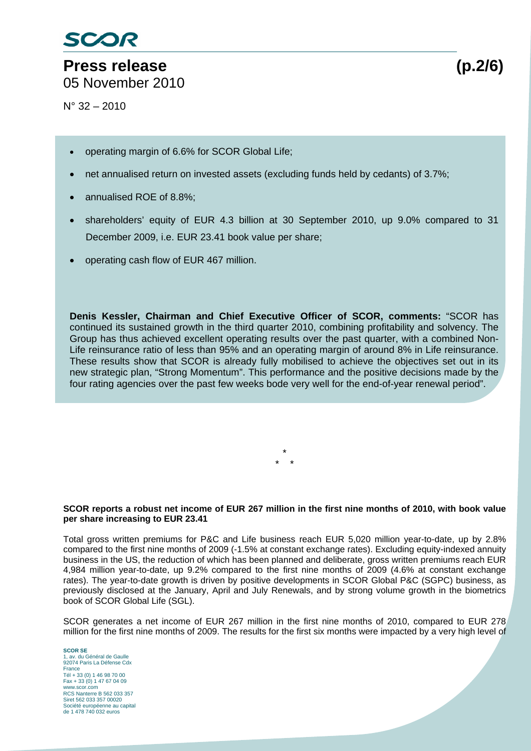# **Press release (p.2/6)**

05 November 2010

 $N^{\circ}$  32 – 2010

- operating margin of 6.6% for SCOR Global Life;
- net annualised return on invested assets (excluding funds held by cedants) of 3.7%;
- annualised ROE of 8.8%;
- shareholders' equity of EUR 4.3 billion at 30 September 2010, up 9.0% compared to 31 December 2009, i.e. EUR 23.41 book value per share;
- operating cash flow of EUR 467 million.

**Denis Kessler, Chairman and Chief Executive Officer of SCOR, comments:** "SCOR has continued its sustained growth in the third quarter 2010, combining profitability and solvency. The Group has thus achieved excellent operating results over the past quarter, with a combined Non-Life reinsurance ratio of less than 95% and an operating margin of around 8% in Life reinsurance. These results show that SCOR is already fully mobilised to achieve the objectives set out in its new strategic plan, "Strong Momentum". This performance and the positive decisions made by the four rating agencies over the past few weeks bode very well for the end-of-year renewal period".

> \* \* \*

#### **SCOR reports a robust net income of EUR 267 million in the first nine months of 2010, with book value per share increasing to EUR 23.41**

Total gross written premiums for P&C and Life business reach EUR 5,020 million year-to-date, up by 2.8% compared to the first nine months of 2009 (-1.5% at constant exchange rates). Excluding equity-indexed annuity business in the US, the reduction of which has been planned and deliberate, gross written premiums reach EUR 4,984 million year-to-date, up 9.2% compared to the first nine months of 2009 (4.6% at constant exchange rates). The year-to-date growth is driven by positive developments in SCOR Global P&C (SGPC) business, as previously disclosed at the January, April and July Renewals, and by strong volume growth in the biometrics book of SCOR Global Life (SGL).

SCOR generates a net income of EUR 267 million in the first nine months of 2010, compared to EUR 278 million for the first nine months of 2009. The results for the first six months were impacted by a very high level of

**SCOR SE**  1, av. du Général de Gaulle 92074 Paris La Défense Cdx France Tél + 33 (0) 1 46 98 70 00 Fax + 33 (0) 1 47 67 04 09 www.scor.com RCS Nanterre B 562 033 357 Siret 562 033 357 00020 Société européenne au capital de 1 478 740 032 euros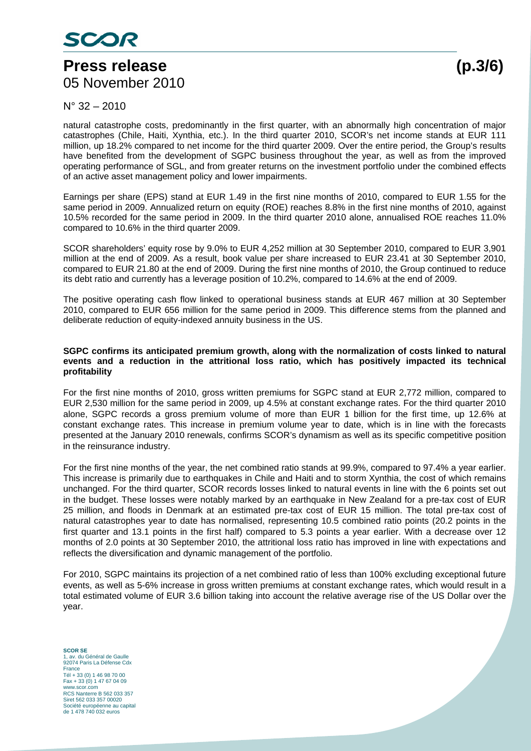### **Press release (p.3/6)**  05 November 2010

 $N^{\circ}$  32 – 2010

natural catastrophe costs, predominantly in the first quarter, with an abnormally high concentration of major catastrophes (Chile, Haiti, Xynthia, etc.). In the third quarter 2010, SCOR's net income stands at EUR 111 million, up 18.2% compared to net income for the third quarter 2009. Over the entire period, the Group's results have benefited from the development of SGPC business throughout the year, as well as from the improved operating performance of SGL, and from greater returns on the investment portfolio under the combined effects of an active asset management policy and lower impairments.

Earnings per share (EPS) stand at EUR 1.49 in the first nine months of 2010, compared to EUR 1.55 for the same period in 2009. Annualized return on equity (ROE) reaches 8.8% in the first nine months of 2010, against 10.5% recorded for the same period in 2009. In the third quarter 2010 alone, annualised ROE reaches 11.0% compared to 10.6% in the third quarter 2009.

SCOR shareholders' equity rose by 9.0% to EUR 4,252 million at 30 September 2010, compared to EUR 3,901 million at the end of 2009. As a result, book value per share increased to EUR 23.41 at 30 September 2010, compared to EUR 21.80 at the end of 2009. During the first nine months of 2010, the Group continued to reduce its debt ratio and currently has a leverage position of 10.2%, compared to 14.6% at the end of 2009.

The positive operating cash flow linked to operational business stands at EUR 467 million at 30 September 2010, compared to EUR 656 million for the same period in 2009. This difference stems from the planned and deliberate reduction of equity-indexed annuity business in the US.

#### **SGPC confirms its anticipated premium growth, along with the normalization of costs linked to natural events and a reduction in the attritional loss ratio, which has positively impacted its technical profitability**

For the first nine months of 2010, gross written premiums for SGPC stand at EUR 2,772 million, compared to EUR 2,530 million for the same period in 2009, up 4.5% at constant exchange rates. For the third quarter 2010 alone, SGPC records a gross premium volume of more than EUR 1 billion for the first time, up 12.6% at constant exchange rates. This increase in premium volume year to date, which is in line with the forecasts presented at the January 2010 renewals, confirms SCOR's dynamism as well as its specific competitive position in the reinsurance industry.

For the first nine months of the year, the net combined ratio stands at 99.9%, compared to 97.4% a year earlier. This increase is primarily due to earthquakes in Chile and Haiti and to storm Xynthia, the cost of which remains unchanged. For the third quarter, SCOR records losses linked to natural events in line with the 6 points set out in the budget. These losses were notably marked by an earthquake in New Zealand for a pre-tax cost of EUR 25 million, and floods in Denmark at an estimated pre-tax cost of EUR 15 million. The total pre-tax cost of natural catastrophes year to date has normalised, representing 10.5 combined ratio points (20.2 points in the first quarter and 13.1 points in the first half) compared to 5.3 points a year earlier. With a decrease over 12 months of 2.0 points at 30 September 2010, the attritional loss ratio has improved in line with expectations and reflects the diversification and dynamic management of the portfolio.

For 2010, SGPC maintains its projection of a net combined ratio of less than 100% excluding exceptional future events, as well as 5-6% increase in gross written premiums at constant exchange rates, which would result in a total estimated volume of EUR 3.6 billion taking into account the relative average rise of the US Dollar over the year.

**SCOR SE**  1, av. du Général de Gaulle 92074 Paris La Défense Cdx France Tél + 33 (0) 1 46 98 70 00 Fax + 33 (0) 1 47 67 04 09 www.scor.com RCS Nanterre B 562 033 357 Siret 562 033 357 00020 Société européenne au capital de 1 478 740 032 euros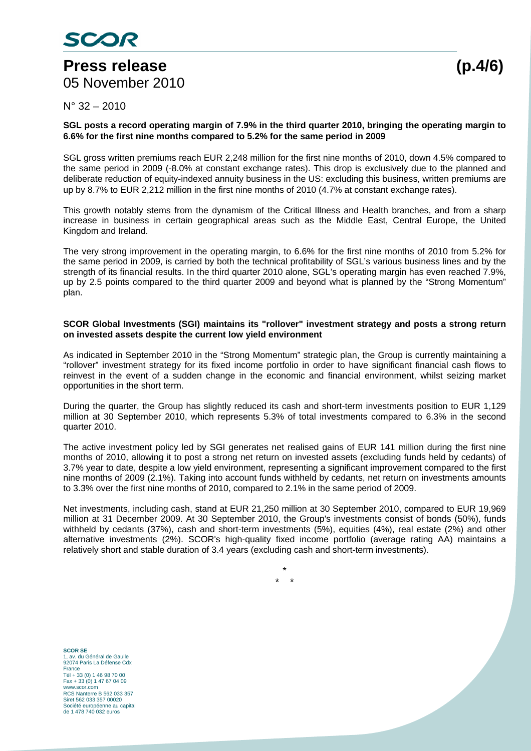### **Press release (p.4/6)**  05 November 2010

### $N^{\circ}$  32 – 2010

#### **SGL posts a record operating margin of 7.9% in the third quarter 2010, bringing the operating margin to 6.6% for the first nine months compared to 5.2% for the same period in 2009**

SGL gross written premiums reach EUR 2,248 million for the first nine months of 2010, down 4.5% compared to the same period in 2009 (-8.0% at constant exchange rates). This drop is exclusively due to the planned and deliberate reduction of equity-indexed annuity business in the US: excluding this business, written premiums are up by 8.7% to EUR 2,212 million in the first nine months of 2010 (4.7% at constant exchange rates).

This growth notably stems from the dynamism of the Critical Illness and Health branches, and from a sharp increase in business in certain geographical areas such as the Middle East, Central Europe, the United Kingdom and Ireland.

The very strong improvement in the operating margin, to 6.6% for the first nine months of 2010 from 5.2% for the same period in 2009, is carried by both the technical profitability of SGL's various business lines and by the strength of its financial results. In the third quarter 2010 alone, SGL's operating margin has even reached 7.9%, up by 2.5 points compared to the third quarter 2009 and beyond what is planned by the "Strong Momentum" plan.

#### **SCOR Global Investments (SGI) maintains its "rollover" investment strategy and posts a strong return on invested assets despite the current low yield environment**

As indicated in September 2010 in the "Strong Momentum" strategic plan, the Group is currently maintaining a "rollover" investment strategy for its fixed income portfolio in order to have significant financial cash flows to reinvest in the event of a sudden change in the economic and financial environment, whilst seizing market opportunities in the short term.

During the quarter, the Group has slightly reduced its cash and short-term investments position to EUR 1,129 million at 30 September 2010, which represents 5.3% of total investments compared to 6.3% in the second quarter 2010.

The active investment policy led by SGI generates net realised gains of EUR 141 million during the first nine months of 2010, allowing it to post a strong net return on invested assets (excluding funds held by cedants) of 3.7% year to date, despite a low yield environment, representing a significant improvement compared to the first nine months of 2009 (2.1%). Taking into account funds withheld by cedants, net return on investments amounts to 3.3% over the first nine months of 2010, compared to 2.1% in the same period of 2009.

Net investments, including cash, stand at EUR 21,250 million at 30 September 2010, compared to EUR 19,969 million at 31 December 2009. At 30 September 2010, the Group's investments consist of bonds (50%), funds withheld by cedants (37%), cash and short-term investments (5%), equities (4%), real estate (2%) and other alternative investments (2%). SCOR's high-quality fixed income portfolio (average rating AA) maintains a relatively short and stable duration of 3.4 years (excluding cash and short-term investments).

> \* \* \*

**SCOR SE**  1, av. du Général de Gaulle 92074 Paris La Défense Cdx France Tél + 33 (0) 1 46 98 70 00 Fax + 33 (0) 1 47 67 04 09 www.scor.com RCS Nanterre B 562 033 357 Siret 562 033 357 00020 Société européenne au capital de 1 478 740 032 euros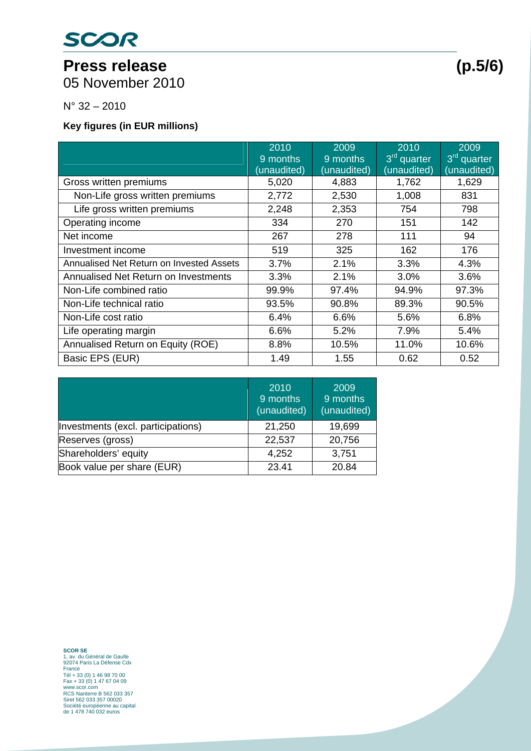# SCOR

# Press release (p.5/6)

05 November 2010

N° 32 – 2010

**Key figures (in EUR millions)** 

|                                          | 2010<br>9 months | 2009<br>9 months | 2010<br>3 <sup>rd</sup> quarter | 2009<br>3 <sup>rd</sup> quarter |
|------------------------------------------|------------------|------------------|---------------------------------|---------------------------------|
|                                          | (unaudited)      | (unaudited)      | (unaudited)                     | (unaudited)                     |
| Gross written premiums                   | 5,020            | 4,883            | 1,762                           | 1,629                           |
| Non-Life gross written premiums          | 2,772            | 2,530            | 1,008                           | 831                             |
| Life gross written premiums              | 2,248            | 2,353            | 754                             | 798                             |
| Operating income                         | 334              | 270              | 151                             | 142                             |
| Net income                               | 267              | 278              | 111                             | 94                              |
| Investment income                        | 519              | 325              | 162                             | 176                             |
| Annualised Net Return on Invested Assets | 3.7%             | 2.1%             | 3.3%                            | 4.3%                            |
| Annualised Net Return on Investments     | 3.3%             | 2.1%             | 3.0%                            | 3.6%                            |
| Non-Life combined ratio                  | 99.9%            | 97.4%            | 94.9%                           | 97.3%                           |
| Non-Life technical ratio                 | 93.5%            | 90.8%            | 89.3%                           | 90.5%                           |
| Non-Life cost ratio                      | 6.4%             | 6.6%             | 5.6%                            | 6.8%                            |
| Life operating margin                    | 6.6%             | 5.2%             | 7.9%                            | 5.4%                            |
| Annualised Return on Equity (ROE)        | 8.8%             | 10.5%            | 11.0%                           | 10.6%                           |
| Basic EPS (EUR)                          | 1.49             | 1.55             | 0.62                            | 0.52                            |

|                                    | 2010<br>9 months<br>(unaudited) | 2009<br>9 months<br>(unaudited) |
|------------------------------------|---------------------------------|---------------------------------|
| Investments (excl. participations) | 21,250                          | 19,699                          |
| Reserves (gross)                   | 22,537                          | 20,756                          |
| Shareholders' equity               | 4,252                           | 3,751                           |
| Book value per share (EUR)         | 23.41                           | 20.84                           |

**SCOR SE**<br>1, av. du Général de Gaulle<br>92074 Paris La Défense Cdx<br>France<br>Tél + 33 (0) 1 46 98 70 00<br>6 Tax + 33 (0) 1 47 67 04 09<br>WWW.SCOT.COM<br>RCS Nanterre B 562 033 357<br>Siret 562 033 357 00020<br>Scociété européene au capital<br>